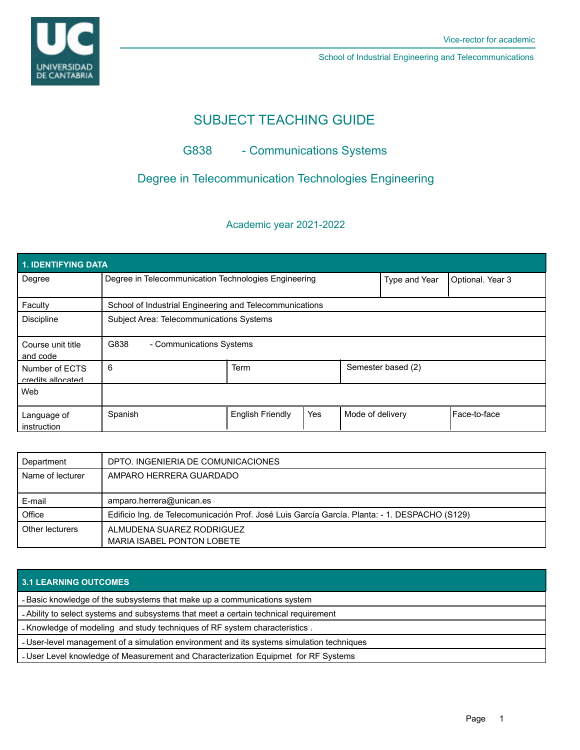

School of Industrial Engineering and Telecommunications

# SUBJECT TEACHING GUIDE

# G838 - Communications Systems

# Degree in Telecommunication Technologies Engineering

## Academic year 2021-2022

| 1. IDENTIFYING DATA                 |                                                         |                         |     |                  |                    |              |  |  |  |
|-------------------------------------|---------------------------------------------------------|-------------------------|-----|------------------|--------------------|--------------|--|--|--|
| Degree                              | Degree in Telecommunication Technologies Engineering    |                         |     | Type and Year    | Optional. Year 3   |              |  |  |  |
| Faculty                             | School of Industrial Engineering and Telecommunications |                         |     |                  |                    |              |  |  |  |
| <b>Discipline</b>                   | Subject Area: Telecommunications Systems                |                         |     |                  |                    |              |  |  |  |
| Course unit title<br>and code       | G838<br>- Communications Systems                        |                         |     |                  |                    |              |  |  |  |
| Number of ECTS<br>credits allocated | 6                                                       | <b>Term</b>             |     |                  | Semester based (2) |              |  |  |  |
| Web                                 |                                                         |                         |     |                  |                    |              |  |  |  |
| Language of<br>instruction          | Spanish                                                 | <b>English Friendly</b> | Yes | Mode of delivery |                    | Face-to-face |  |  |  |

| Department       | DPTO. INGENIERIA DE COMUNICACIONES                                                            |  |
|------------------|-----------------------------------------------------------------------------------------------|--|
| Name of lecturer | AMPARO HERRERA GUARDADO                                                                       |  |
|                  |                                                                                               |  |
| E-mail           | amparo.herrera@unican.es                                                                      |  |
| Office           | Edificio Ing. de Telecomunicación Prof. José Luis García García. Planta: - 1. DESPACHO (S129) |  |
| Other lecturers  | ALMUDENA SUAREZ RODRIGUEZ                                                                     |  |
|                  | MARIA ISABEL PONTON LOBETE                                                                    |  |

### **3.1 LEARNING OUTCOMES**

- Basic knowledge of the subsystems that make up a communications system

- Ability to select systems and subsystems that meet a certain technical requirement

- Knowledge of modeling and study techniques of RF system characteristics .

- User-level management of a simulation environment and its systems simulation techniques

- User Level knowledge of Measurement and Characterization Equipmet for RF Systems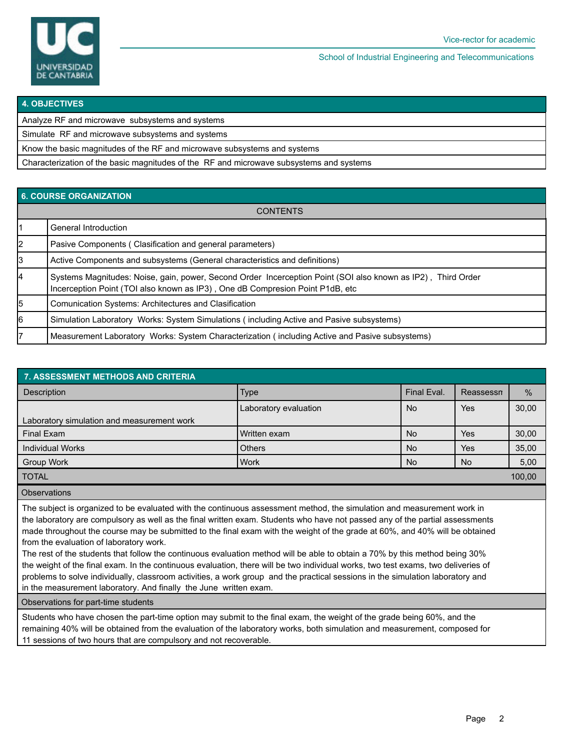

School of Industrial Engineering and Telecommunications

#### **4. OBJECTIVES**

| Analyze RF and microwave subsystems and systems                                         |  |
|-----------------------------------------------------------------------------------------|--|
| Simulate RF and microwave subsystems and systems                                        |  |
| Know the basic magnitudes of the RF and microwave subsystems and systems                |  |
| Characterization of the basic magnitudes of the RF and microwave subsystems and systems |  |

## **6. COURSE ORGANIZATION**

| <b>CONTENTS</b> |                                                                                                                                                                                               |  |  |  |
|-----------------|-----------------------------------------------------------------------------------------------------------------------------------------------------------------------------------------------|--|--|--|
|                 | General Introduction                                                                                                                                                                          |  |  |  |
| 2               | Pasive Components (Clasification and general parameters)                                                                                                                                      |  |  |  |
| 3               | Active Components and subsystems (General characteristics and definitions)                                                                                                                    |  |  |  |
| 4               | Systems Magnitudes: Noise, gain, power, Second Order Incerception Point (SOI also known as IP2), Third Order<br>Incerception Point (TOI also known as IP3), One dB Compresion Point P1dB, etc |  |  |  |
| 5               | <b>Comunication Systems: Architectures and Clasification</b>                                                                                                                                  |  |  |  |
| 6               | Simulation Laboratory Works: System Simulations (including Active and Pasive subsystems)                                                                                                      |  |  |  |
| 17              | Measurement Laboratory Works: System Characterization (including Active and Pasive subsystems)                                                                                                |  |  |  |

| <b>7. ASSESSMENT METHODS AND CRITERIA</b>  |                       |             |           |        |  |  |  |  |
|--------------------------------------------|-----------------------|-------------|-----------|--------|--|--|--|--|
| <b>Description</b>                         | <b>Type</b>           | Final Eval. | Reassessn | $\%$   |  |  |  |  |
|                                            | Laboratory evaluation | <b>No</b>   | Yes       | 30,00  |  |  |  |  |
| Laboratory simulation and measurement work |                       |             |           |        |  |  |  |  |
| Final Exam                                 | Written exam          | <b>No</b>   | Yes       | 30,00  |  |  |  |  |
| <b>Individual Works</b>                    | <b>Others</b>         | <b>No</b>   | Yes       | 35,00  |  |  |  |  |
| Group Work                                 | Work                  | <b>No</b>   | <b>No</b> | 5,00   |  |  |  |  |
| <b>TOTAL</b>                               |                       |             |           | 100,00 |  |  |  |  |

**Observations** 

The subject is organized to be evaluated with the continuous assessment method, the simulation and measurement work in the laboratory are compulsory as well as the final written exam. Students who have not passed any of the partial assessments made throughout the course may be submitted to the final exam with the weight of the grade at 60%, and 40% will be obtained from the evaluation of laboratory work.

The rest of the students that follow the continuous evaluation method will be able to obtain a 70% by this method being 30% the weight of the final exam. In the continuous evaluation, there will be two individual works, two test exams, two deliveries of problems to solve individually, classroom activities, a work group and the practical sessions in the simulation laboratory and in the measurement laboratory. And finally the June written exam.

Observations for part-time students

Students who have chosen the part-time option may submit to the final exam, the weight of the grade being 60%, and the remaining 40% will be obtained from the evaluation of the laboratory works, both simulation and measurement, composed for 11 sessions of two hours that are compulsory and not recoverable.